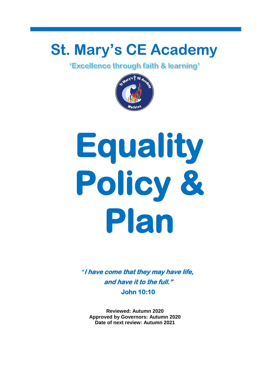# **St. Mary's CE Academy**

*<u>'Excellence through faith & learning'*</u>



# **Equality Policy & Plan**

*"***I have come that they may have life, and have it to the full." John 10:10** 

**Reviewed: Autumn 2020 Approved by Governors: Autumn 2020 Date of next review: Autumn 2021**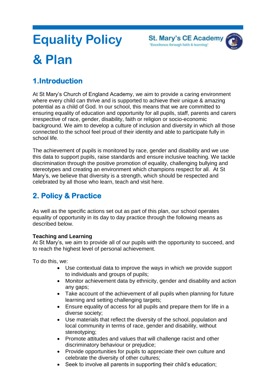

# **Equality Policy & Plan**

# **1.Introduction**

At St Mary's Church of England Academy, we aim to provide a caring environment where every child can thrive and is supported to achieve their unique & amazing potential as a child of God. In our school, this means that we are committed to ensuring equality of education and opportunity for all pupils, staff, parents and carers irrespective of race, gender, disability, faith or religion or socio-economic background. We aim to develop a culture of inclusion and diversity in which all those connected to the school feel proud of their identity and able to participate fully in school life.

The achievement of pupils is monitored by race, gender and disability and we use this data to support pupils, raise standards and ensure inclusive teaching. We tackle discrimination through the positive promotion of equality, challenging bullying and stereotypes and creating an environment which champions respect for all. At St Mary's, we believe that diversity is a strength, which should be respected and celebrated by all those who learn, teach and visit here.

# **2. Policy & Practice**

As well as the specific actions set out as part of this plan, our school operates equality of opportunity in its day to day practice through the following means as described below.

#### **Teaching and Learning**

At St Mary's, we aim to provide all of our pupils with the opportunity to succeed, and to reach the highest level of personal achievement.

To do this, we:

- Use contextual data to improve the ways in which we provide support to individuals and groups of pupils;
- Monitor achievement data by ethnicity, gender and disability and action any gaps;
- Take account of the achievement of all pupils when planning for future learning and setting challenging targets;
- Ensure equality of access for all pupils and prepare them for life in a diverse society;
- Use materials that reflect the diversity of the school, population and local community in terms of race, gender and disability, without stereotyping;
- Promote attitudes and values that will challenge racist and other discriminatory behaviour or prejudice;
- Provide opportunities for pupils to appreciate their own culture and celebrate the diversity of other cultures;
- Seek to involve all parents in supporting their child's education;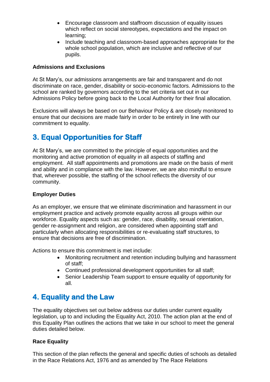- Encourage classroom and staffroom discussion of equality issues which reflect on social stereotypes, expectations and the impact on learning;
- Include teaching and classroom-based approaches appropriate for the whole school population, which are inclusive and reflective of our pupils.

#### **Admissions and Exclusions**

At St Mary's, our admissions arrangements are fair and transparent and do not discriminate on race, gender, disability or socio-economic factors. Admissions to the school are ranked by governors according to the set criteria set out in our Admissions Policy before going back to the Local Authority for their final allocation.

Exclusions will always be based on our Behaviour Policy & are closely monitored to ensure that our decisions are made fairly in order to be entirely in line with our commitment to equality.

# **3. Equal Opportunities for Staff**

At St Mary's, we are committed to the principle of equal opportunities and the monitoring and active promotion of equality in all aspects of staffing and employment. All staff appointments and promotions are made on the basis of merit and ability and in compliance with the law. However, we are also mindful to ensure that, wherever possible, the staffing of the school reflects the diversity of our community.

#### **Employer Duties**

As an employer, we ensure that we eliminate discrimination and harassment in our employment practice and actively promote equality across all groups within our workforce. Equality aspects such as: gender, race, disability, sexual orientation, gender re-assignment and religion, are considered when appointing staff and particularly when allocating responsibilities or re-evaluating staff structures, to ensure that decisions are free of discrimination.

Actions to ensure this commitment is met include:

- Monitoring recruitment and retention including bullying and harassment of staff;
- Continued professional development opportunities for all staff;
- Senior Leadership Team support to ensure equality of opportunity for all.

# **4. Equality and the Law**

The equality objectives set out below address our duties under current equality legislation, up to and including the Equality Act, 2010. The action plan at the end of this Equality Plan outlines the actions that we take in our school to meet the general duties detailed below.

#### **Race Equality**

This section of the plan reflects the general and specific duties of schools as detailed in the Race Relations Act, 1976 and as amended by The Race Relations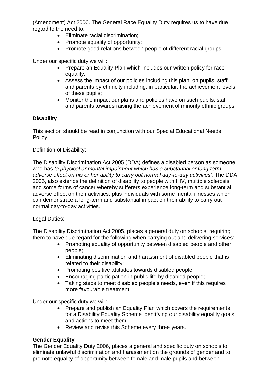(Amendment) Act 2000. The General Race Equality Duty requires us to have due regard to the need to:

- Eliminate racial discrimination;
- Promote equality of opportunity;
- Promote good relations between people of different racial groups.

Under our specific duty we will:

- Prepare an Equality Plan which includes our written policy for race equality;
- Assess the impact of our policies including this plan, on pupils, staff and parents by ethnicity including, in particular, the achievement levels of these pupils;
- Monitor the impact our plans and policies have on such pupils, staff and parents towards raising the achievement of minority ethnic groups.

#### **Disability**

This section should be read in conjunction with our Special Educational Needs Policy.

#### Definition of Disability:

The Disability Discrimination Act 2005 (DDA) defines a disabled person as someone who has *'a physical or mental impairment which has a substantial or long-term adverse effect on his or her ability to carry out normal day-to-day activities'*. The DDA 2005, also extends the definition of disability to people with HIV, multiple sclerosis and some forms of cancer whereby sufferers experience long-term and substantial adverse effect on their activities, plus individuals with some mental illnesses which can demonstrate a long-term and substantial impact on their ability to carry out normal day-to-day activities.

#### Legal Duties:

The Disability Discrimination Act 2005, places a general duty on schools, requiring them to have due regard for the following when carrying out and delivering services:

- Promoting equality of opportunity between disabled people and other people;
- Eliminating discrimination and harassment of disabled people that is related to their disability;
- Promoting positive attitudes towards disabled people;
- Encouraging participation in public life by disabled people;
- Taking steps to meet disabled people's needs, even if this requires more favourable treatment.

Under our specific duty we will:

- Prepare and publish an Equality Plan which covers the requirements for a Disability Equality Scheme identifying our disability equality goals and actions to meet them;
- Review and revise this Scheme every three years.

#### **Gender Equality**

The Gender Equality Duty 2006, places a general and specific duty on schools to eliminate unlawful discrimination and harassment on the grounds of gender and to promote equality of opportunity between female and male pupils and between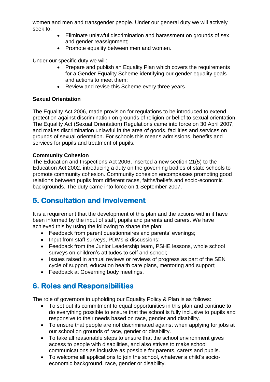women and men and transgender people. Under our general duty we will actively seek to:

- Eliminate unlawful discrimination and harassment on grounds of sex and gender reassignment;
- Promote equality between men and women.

Under our specific duty we will:

- Prepare and publish an Equality Plan which covers the requirements for a Gender Equality Scheme identifying our gender equality goals and actions to meet them;
- Review and revise this Scheme every three years.

#### **Sexual Orientation**

The Equality Act 2006, made provision for regulations to be introduced to extend protection against discrimination on grounds of religion or belief to sexual orientation. The Equality Act (Sexual Orientation) Regulations came into force on 30 April 2007, and makes discrimination unlawful in the area of goods, facilities and services on grounds of sexual orientation. For schools this means admissions, benefits and services for pupils and treatment of pupils.

#### **Community Cohesion**

The Education and Inspections Act 2006, inserted a new section 21(5) to the Education Act 2002, introducing a duty on the governing bodies of state schools to promote community cohesion. Community cohesion encompasses promoting good relations between pupils from different races, faiths/beliefs and socio-economic backgrounds. The duty came into force on 1 September 2007.

# **5. Consultation and Involvement**

It is a requirement that the development of this plan and the actions within it have been informed by the input of staff, pupils and parents and carers. We have achieved this by using the following to shape the plan:

- Feedback from parent questionnaires and parents' evenings;
- Input from staff surveys, PDMs & discussions;
- Feedback from the Junior Leadership team, PSHE lessons, whole school surveys on children's attitudes to self and school;
- Issues raised in annual reviews or reviews of progress as part of the SEN cycle of support, education health care plans, mentoring and support;
- Feedback at Governing body meetings.

# **6. Roles and Responsibilities**

The role of governors in upholding our Equality Policy & Plan is as follows:

- To set out its commitment to equal opportunities in this plan and continue to do everything possible to ensure that the school is fully inclusive to pupils and responsive to their needs based on race, gender and disability.
- To ensure that people are not discriminated against when applying for jobs at our school on grounds of race, gender or disability.
- To take all reasonable steps to ensure that the school environment gives access to people with disabilities, and also strives to make school communications as inclusive as possible for parents, carers and pupils.
- To welcome all applications to join the school, whatever a child's socioeconomic background, race, gender or disability.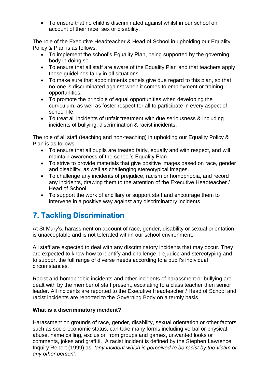To ensure that no child is discriminated against whilst in our school on account of their race, sex or disability.

The role of the Executive Headteacher & Head of School in upholding our Equality Policy & Plan is as follows:

- To implement the school's Equality Plan, being supported by the governing body in doing so.
- To ensure that all staff are aware of the Equality Plan and that teachers apply these guidelines fairly in all situations.
- To make sure that appointments panels give due regard to this plan, so that no-one is discriminated against when it comes to employment or training opportunities.
- To promote the principle of equal opportunities when developing the curriculum, as well as foster respect for all to participate in every aspect of school life.
- To treat all incidents of unfair treatment with due seriousness & including incidents of bullying, discrimination & racist incidents.

The role of all staff (teaching and non-teaching) in upholding our Equality Policy & Plan is as follows:

- To ensure that all pupils are treated fairly, equally and with respect, and will maintain awareness of the school's Equality Plan.
- To strive to provide materials that give positive images based on race, gender and disability, as well as challenging stereotypical images.
- To challenge any incidents of prejudice, racism or homophobia, and record any incidents, drawing them to the attention of the Executive Headteacher / Head of School.
- To support the work of ancillary or support staff and encourage them to intervene in a positive way against any discriminatory incidents.

# **7. Tackling Discrimination**

At St Mary's, harassment on account of race, gender, disability or sexual orientation is unacceptable and is not tolerated within our school environment.

All staff are expected to deal with any discriminatory incidents that may occur. They are expected to know how to identify and challenge prejudice and stereotyping and to support the full range of diverse needs according to a pupil's individual circumstances.

Racist and homophobic incidents and other incidents of harassment or bullying are dealt with by the member of staff present, escalating to a class teacher then senior leader. All incidents are reported to the Executive Headteacher / Head of School and racist incidents are reported to the Governing Body on a termly basis.

#### **What is a discriminatory incident?**

Harassment on grounds of race, gender, disability, sexual orientation or other factors such as socio-economic status, can take many forms including verbal or physical abuse, name calling, exclusion from groups and games, unwanted looks or comments, jokes and graffiti. A racist incident is defined by the Stephen Lawrence Inquiry Report (1999) as: *'any incident which is perceived to be racist by the victim or any other person'.*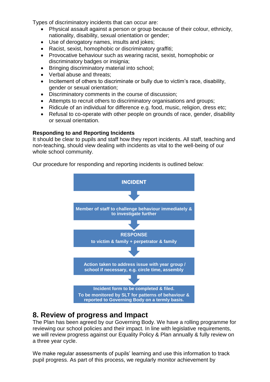Types of discriminatory incidents that can occur are:

- Physical assault against a person or group because of their colour, ethnicity, nationality, disability, sexual orientation or gender;
- Use of derogatory names, insults and jokes;
- Racist, sexist, homophobic or discriminatory graffiti;
- Provocative behaviour such as wearing racist, sexist, homophobic or discriminatory badges or insignia;
- Bringing discriminatory material into school;
- Verbal abuse and threats;
- Incitement of others to discriminate or bully due to victim's race, disability, gender or sexual orientation;
- Discriminatory comments in the course of discussion;
- Attempts to recruit others to discriminatory organisations and groups;
- Ridicule of an individual for difference e.g. food, music, religion, dress etc;
- Refusal to co-operate with other people on grounds of race, gender, disability or sexual orientation.

#### **Responding to and Reporting Incidents**

It should be clear to pupils and staff how they report incidents. All staff, teaching and non-teaching, should view dealing with incidents as vital to the well-being of our whole school community.

Our procedure for responding and reporting incidents is outlined below:



#### **8. Review of progress and Impact**

The Plan has been agreed by our Governing Body. We have a rolling programme for reviewing our school policies and their impact. In line with legislative requirements, we will review progress against our Equality Policy & Plan annually & fully review on a three year cycle.

We make regular assessments of pupils' learning and use this information to track pupil progress. As part of this process, we regularly monitor achievement by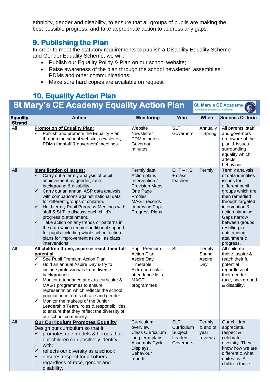ethnicity, gender and disability, to ensure that all groups of pupils are making the best possible progress, and take appropriate action to address any gaps.

### **9. Publishing the Plan**

In order to meet the statutory requirements to publish a Disability Equality Scheme and Gender Equality Scheme, we will:

- Publish our Equality Policy & Plan on our school website;
- Raise awareness of the plan through the school newsletter, assemblies, PDMs and other communications;
- Make sure hard copies are available on request

#### **10. Equality Action Plan St Mary's CE Academy Equality Action Plan St. Mary's CE Academy**

| <b>Equality</b><br><b>Strand</b> | <b>Action</b>                                                                                                                                                                                                                                                                                                                                                                                                                                                                                                                                                                                                                              | <b>Monitoring</b>                                                                                                                                                               | Who                                                         | When                                  | <b>Success Criteria</b>                                                                                                                                                                                                                                            |
|----------------------------------|--------------------------------------------------------------------------------------------------------------------------------------------------------------------------------------------------------------------------------------------------------------------------------------------------------------------------------------------------------------------------------------------------------------------------------------------------------------------------------------------------------------------------------------------------------------------------------------------------------------------------------------------|---------------------------------------------------------------------------------------------------------------------------------------------------------------------------------|-------------------------------------------------------------|---------------------------------------|--------------------------------------------------------------------------------------------------------------------------------------------------------------------------------------------------------------------------------------------------------------------|
| All                              | <b>Promotion of Equality Plan:</b><br>Publish and promote the Equality Plan<br>$\checkmark$<br>through the school website, newsletter,<br>PDMs for staff & governors' meetings.                                                                                                                                                                                                                                                                                                                                                                                                                                                            | Website<br>Newsletter<br>PDM minutes<br>Governor<br>minutes                                                                                                                     | <b>SLT</b><br>Governors                                     | Annually<br>$-$ Spring                | All parents, staff<br>and governors<br>are aware of the<br>plan & issues<br>surrounding<br>equality which<br>affects<br>behaviour.                                                                                                                                 |
| All                              | <b>Identification of Issues:</b><br>$\checkmark$<br>Carry out a termly analysis of pupil<br>achievement by gender, race,<br>background & disability.<br>Carry out an annual ASP data analysis<br>$\checkmark$<br>with comparisons against national data<br>for different groups of children.<br>Hold termly Pupil Progress Meetings with<br>$\checkmark$<br>staff & SLT to discuss each child's<br>progress & attainment.<br>$\checkmark$<br>Take action on any trends or patterns in<br>the data which require additional support<br>for pupils including whole school action<br>plans for improvement as well as class<br>interventions. | Termly data<br>Action plans<br>Intervention /<br><b>Provision Maps</b><br>One Page<br><b>Profiles</b><br><b>MAGT</b> records<br><b>Improving Pupil</b><br><b>Progress Plans</b> | $EHT - KS$<br>+ class<br>teachers                           | Termly                                | Termly analysis<br>of data identifies<br>issues for<br>different pupil<br>groups which are<br>then remedied<br>through targeted<br>intervention &<br>action planning.<br>Gaps narrow<br>between groups<br>resulting in<br>outstanding<br>attainment &<br>progress. |
| All                              | All children thrive, aspire & reach their full<br>potential.<br>See Pupil Premium Action Plan<br>✓<br>Hold an annual Aspire Day & try to<br>$\checkmark$<br>include professionals from diverse<br>backgrounds.<br>$\checkmark$<br>Monitor attendance at extra-curricular &<br>MAGT programmes to ensure<br>representation which reflects the school<br>population in terms of race and gender.<br>Monitor the makeup of the Junior<br>$\checkmark$<br>Leadership Team, roles & responsibilities<br>to ensure that they reflect the diversity of<br>our school community.                                                                   | Pupil Premium<br><b>Action Plan</b><br>Aspire Day<br>Timetable<br>Extra-curricular<br>attendance lists<br><b>MAGT</b><br>programmes                                             | <b>SLT</b>                                                  | Termly<br>Spring<br>Aspire<br>Day     | All children<br>thrive, aspire &<br>reach their full<br>potential<br>regardless of<br>their gender,<br>race, background<br>& disability.                                                                                                                           |
| All                              | <b>Our Curriculum Promotes Equality</b><br>Design our curriculum so that it:<br>promotes role models & heroes that<br>$\checkmark$<br>our children can positively identify<br>with;<br>reflects our diversity as a school;<br>$\checkmark$<br>ensures respect for all others<br>$\checkmark$<br>regardless of race, gender and<br>disability.                                                                                                                                                                                                                                                                                              | Curriculum<br>overview<br><b>Class Curriculum</b><br>long term plans<br><b>Assembly Cycle</b><br><b>Displays</b><br>Behaviour<br>reports                                        | <b>SLT</b><br>Curriculum<br>Subject<br>Leaders<br>Governors | Termly<br>& end of<br>year<br>reviews | Our children<br>appreciate,<br>respect &<br>celebrate<br>diversity. They<br>know how we are<br>different & what<br>unites us. All<br>children thrive,                                                                                                              |